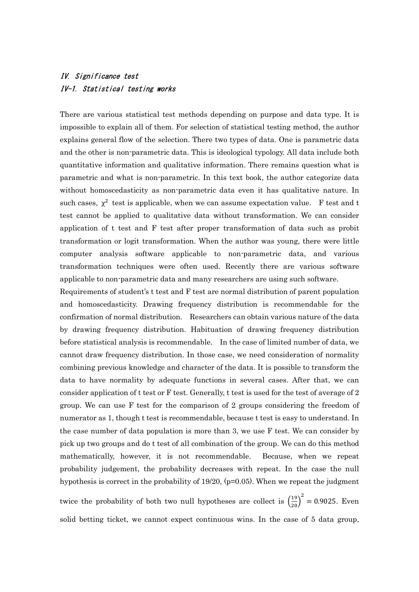## IV. Significance test IV-1. Statistical testing works

There are various statistical test methods depending on purpose and data type. It is impossible to explain all of them. For selection of statistical testing method, the author explains general flow of the selection. There two types of data. One is parametric data and the other is non-parametric data. This is ideological typology. All data include both quantitative information and qualitative information. There remains question what is parametric and what is non-parametric. In this text book, the author categorize data without homoscedasticity as non-parametric data even it has qualitative nature. In such cases,  $\chi^2$  test is applicable, when we can assume expectation value. F test and t test cannot be applied to qualitative data without transformation. We can consider application of t test and F test after proper transformation of data such as probit transformation or logit transformation. When the author was young, there were little computer analysis software applicable to non-parametric data, and various transformation techniques were often used. Recently there are various software applicable to non-parametric data and many researchers are using such software.

Requirements of student's t test and F test are normal distribution of parent population and homoscedasticity. Drawing frequency distribution is recommendable for the confirmation of normal distribution. Researchers can obtain various nature of the data by drawing frequency distribution. Habituation of drawing frequency distribution before statistical analysis is recommendable. In the case of limited number of data, we cannot draw frequency distribution. In those case, we need consideration of normality combining previous knowledge and character of the data. It is possible to transform the data to have normality by adequate functions in several cases. After that, we can consider application of t test or F test. Generally, t test is used for the test of average of 2 group. We can use F test for the comparison of 2 groups considering the freedom of numerator as 1, though t test is recommendable, because t test is easy to understand. In the case number of data population is more than 3, we use F test. We can consider by pick up two groups and do t test of all combination of the group. We can do this method mathematically, however, it is not recommendable. Because, when we repeat probability judgement, the probability decreases with repeat. In the case the null hypothesis is correct in the probability of  $19/20$ ,  $(p=0.05)$ . When we repeat the judgment

twice the probability of both two null hypotheses are collect is  $\left(\frac{19}{20}\right)^2 = 0.9025$ . Even solid betting ticket, we cannot expect continuous wins. In the case of 5 data group,